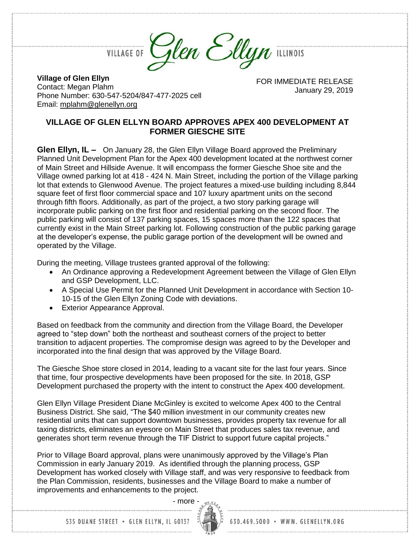Phone Number: 630-547-5204/847-477-2025 cell

**Village of Glen Ellyn** Contact: Megan Plahm

Email: [mplahm@glenellyn.org](mailto:mplahm@glenellyn.org)



FOR IMMEDIATE RELEASE January 29, 2019

## **VILLAGE OF GLEN ELLYN BOARD APPROVES APEX 400 DEVELOPMENT AT FORMER GIESCHE SITE**

**Glen Ellyn, IL –** On January 28, the Glen Ellyn Village Board approved the Preliminary Planned Unit Development Plan for the Apex 400 development located at the northwest corner of Main Street and Hillside Avenue. It will encompass the former Giesche Shoe site and the Village owned parking lot at 418 - 424 N. Main Street, including the portion of the Village parking lot that extends to Glenwood Avenue. The project features a mixed-use building including 8,844 square feet of first floor commercial space and 107 luxury apartment units on the second through fifth floors. Additionally, as part of the project, a two story parking garage will incorporate public parking on the first floor and residential parking on the second floor. The public parking will consist of 137 parking spaces, 15 spaces more than the 122 spaces that currently exist in the Main Street parking lot. Following construction of the public parking garage at the developer's expense, the public garage portion of the development will be owned and operated by the Village.

During the meeting, Village trustees granted approval of the following:

- An Ordinance approving a Redevelopment Agreement between the Village of Glen Ellyn and GSP Development, LLC.
- A Special Use Permit for the Planned Unit Development in accordance with Section 10- 10-15 of the Glen Ellyn Zoning Code with deviations.
- Exterior Appearance Approval.

Based on feedback from the community and direction from the Village Board, the Developer agreed to "step down" both the northeast and southeast corners of the project to better transition to adjacent properties. The compromise design was agreed to by the Developer and incorporated into the final design that was approved by the Village Board.

The Giesche Shoe store closed in 2014, leading to a vacant site for the last four years. Since that time, four prospective developments have been proposed for the site. In 2018, GSP Development purchased the property with the intent to construct the Apex 400 development.

Glen Ellyn Village President Diane McGinley is excited to welcome Apex 400 to the Central Business District. She said, "The \$40 million investment in our community creates new residential units that can support downtown businesses, provides property tax revenue for all taxing districts, eliminates an eyesore on Main Street that produces sales tax revenue, and generates short term revenue through the TIF District to support future capital projects."

Prior to Village Board approval, plans were unanimously approved by the Village's Plan Commission in early January 2019. As identified through the planning process, GSP Development has worked closely with Village staff, and was very responsive to feedback from the Plan Commission, residents, businesses and the Village Board to make a number of improvements and enhancements to the project.



535 DUANE STREET . GLEN ELLYN, IL 60137

630.469.5000 · WWW. GLENELLYN.ORG